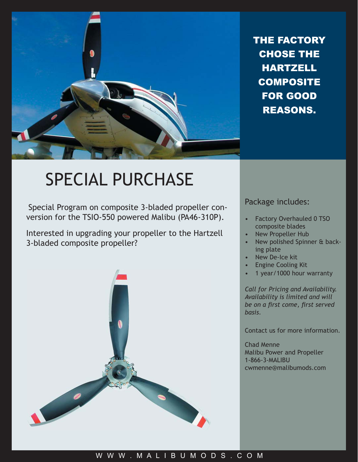

THE FACTORY CHOSE THE **HARTZELL COMPOSITE** FOR GOOD REASONS.

## SPECIAL PURCHASE

Special Program on composite 3-bladed propeller conversion for the TSIO-550 powered Malibu (PA46-310P).

Interested in upgrading your propeller to the Hartzell 3-bladed composite propeller?



## Package includes:

- Factory Overhauled 0 TSO composite blades •
- New Propeller Hub •
- New polished Spinner & backing plate •
- New De-Ice kit •
- Engine Cooling Kit •
- 1 year/1000 hour warranty •

*Call for Pricing and Availability. Availability is limited and will be on a fi rst come, fi rst served basis.*

Contact us for more information.

Chad Menne Malibu Power and Propeller 1-866-3-MALIBU cwmenne@malibumods.com

## W W W . M A L I B U M O D S . C O M